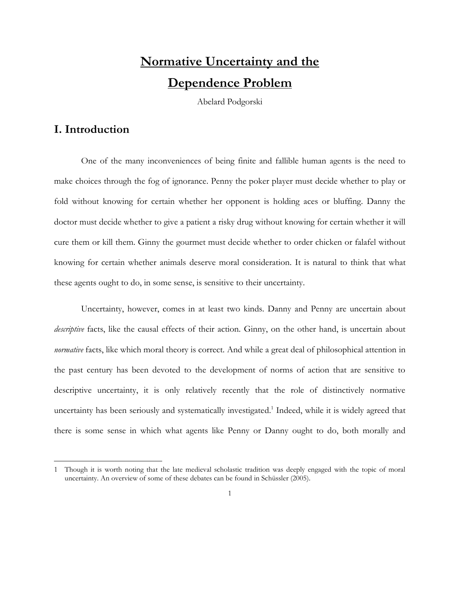# **Normative Uncertainty and the Dependence Problem**

Abelard Podgorski

# **I. Introduction**

 $\overline{\phantom{a}}$ 

One of the many inconveniences of being finite and fallible human agents is the need to make choices through the fog of ignorance. Penny the poker player must decide whether to play or fold without knowing for certain whether her opponent is holding aces or bluffing. Danny the doctor must decide whether to give a patient a risky drug without knowing for certain whether it will cure them or kill them. Ginny the gourmet must decide whether to order chicken or falafel without knowing for certain whether animals deserve moral consideration. It is natural to think that what these agents ought to do, in some sense, is sensitive to their uncertainty.

Uncertainty, however, comes in at least two kinds. Danny and Penny are uncertain about *descriptive* facts, like the causal effects of their action. Ginny, on the other hand, is uncertain about *normative* facts, like which moral theory is correct. And while a great deal of philosophical attention in the past century has been devoted to the development of norms of action that are sensitive to descriptive uncertainty, it is only relatively recently that the role of distinctively normative uncertainty has been seriously and systematically investigated.<sup>1</sup> Indeed, while it is widely agreed that there is some sense in which what agents like Penny or Danny ought to do, both morally and

<sup>1</sup> Though it is worth noting that the late medieval scholastic tradition was deeply engaged with the topic of moral uncertainty. An overview of some of these debates can be found in Schüssler (2005).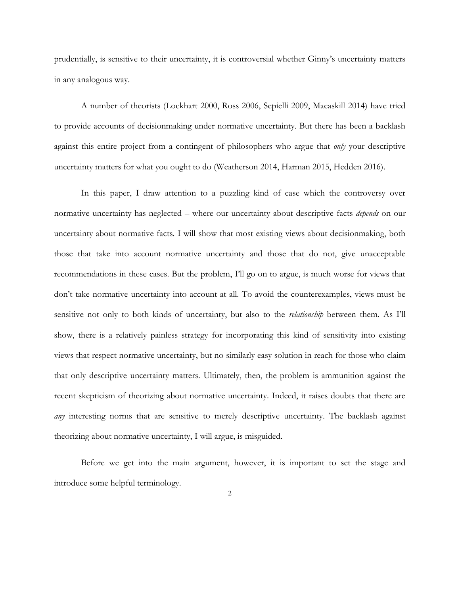prudentially, is sensitive to their uncertainty, it is controversial whether Ginny's uncertainty matters in any analogous way.

A number of theorists (Lockhart 2000, Ross 2006, Sepielli 2009, Macaskill 2014) have tried to provide accounts of decisionmaking under normative uncertainty. But there has been a backlash against this entire project from a contingent of philosophers who argue that *only* your descriptive uncertainty matters for what you ought to do (Weatherson 2014, Harman 2015, Hedden 2016).

In this paper, I draw attention to a puzzling kind of case which the controversy over normative uncertainty has neglected – where our uncertainty about descriptive facts *depends* on our uncertainty about normative facts. I will show that most existing views about decisionmaking, both those that take into account normative uncertainty and those that do not, give unacceptable recommendations in these cases. But the problem, I'll go on to argue, is much worse for views that don't take normative uncertainty into account at all. To avoid the counterexamples, views must be sensitive not only to both kinds of uncertainty, but also to the *relationship* between them. As I'll show, there is a relatively painless strategy for incorporating this kind of sensitivity into existing views that respect normative uncertainty, but no similarly easy solution in reach for those who claim that only descriptive uncertainty matters. Ultimately, then, the problem is ammunition against the recent skepticism of theorizing about normative uncertainty. Indeed, it raises doubts that there are *any* interesting norms that are sensitive to merely descriptive uncertainty. The backlash against theorizing about normative uncertainty, I will argue, is misguided.

Before we get into the main argument, however, it is important to set the stage and introduce some helpful terminology.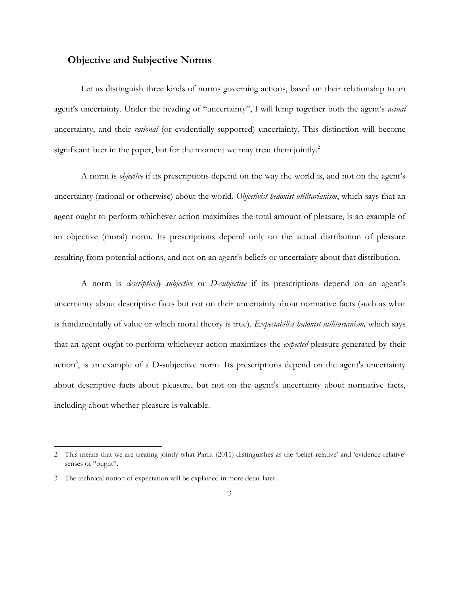#### **Objective and Subjective Norms**

Let us distinguish three kinds of norms governing actions, based on their relationship to an agent's uncertainty. Under the heading of "uncertainty", I will lump together both the agent's *actual*  uncertainty, and their *rational* (or evidentially-supported) uncertainty. This distinction will become significant later in the paper, but for the moment we may treat them jointly.<sup>2</sup>

A norm is *objective* if its prescriptions depend on the way the world is, and not on the agent's uncertainty (rational or otherwise) about the world. *Objectivist hedonist utilitarianism*, which says that an agent ought to perform whichever action maximizes the total amount of pleasure, is an example of an objective (moral) norm. Its prescriptions depend only on the actual distribution of pleasure resulting from potential actions, and not on an agent's beliefs or uncertainty about that distribution.

A norm is *descriptively subjective* or *D-subjective* if its prescriptions depend on an agent's uncertainty about descriptive facts but not on their uncertainty about normative facts (such as what is fundamentally of value or which moral theory is true). *Expectabilist hedonist utilitarianism,* which says that an agent ought to perform whichever action maximizes the *expected* pleasure generated by their action<sup>3</sup>, is an example of a D-subjective norm. Its prescriptions depend on the agent's uncertainty about descriptive facts about pleasure, but not on the agent's uncertainty about normative facts, including about whether pleasure is valuable.

<sup>2</sup> This means that we are treating jointly what Parfit (2011) distinguishes as the 'belief-relative' and 'evidence-relative' senses of "ought".

<sup>3</sup> The technical notion of expectation will be explained in more detail later.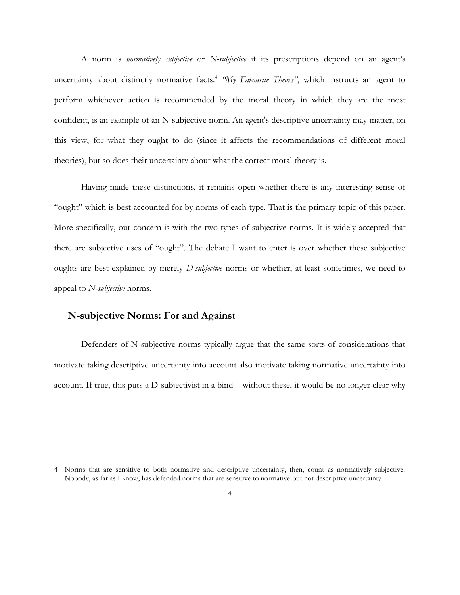A norm is *normatively subjective* or *N-subjective* if its prescriptions depend on an agent's uncertainty about distinctly normative facts.<sup>4</sup> "My Favourite Theory", which instructs an agent to perform whichever action is recommended by the moral theory in which they are the most confident, is an example of an N-subjective norm. An agent's descriptive uncertainty may matter, on this view, for what they ought to do (since it affects the recommendations of different moral theories), but so does their uncertainty about what the correct moral theory is.

Having made these distinctions, it remains open whether there is any interesting sense of "ought" which is best accounted for by norms of each type. That is the primary topic of this paper. More specifically, our concern is with the two types of subjective norms. It is widely accepted that there are subjective uses of "ought". The debate I want to enter is over whether these subjective oughts are best explained by merely *D-subjective* norms or whether, at least sometimes, we need to appeal to *N-subjective* norms.

#### **N-subjective Norms: For and Against**

 $\overline{\phantom{a}}$ 

Defenders of N-subjective norms typically argue that the same sorts of considerations that motivate taking descriptive uncertainty into account also motivate taking normative uncertainty into account. If true, this puts a D-subjectivist in a bind – without these, it would be no longer clear why

<sup>4</sup> Norms that are sensitive to both normative and descriptive uncertainty, then, count as normatively subjective. Nobody, as far as I know, has defended norms that are sensitive to normative but not descriptive uncertainty.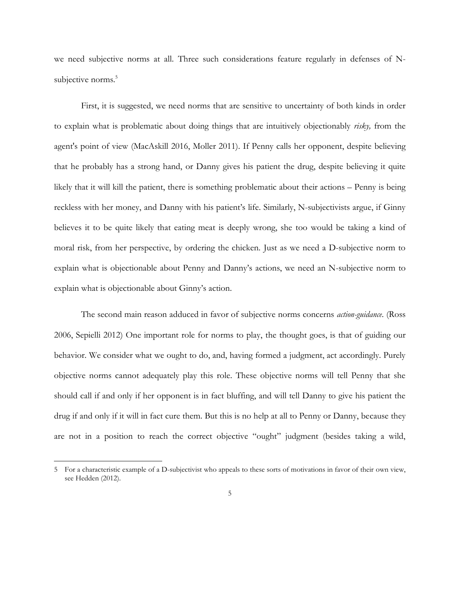we need subjective norms at all. Three such considerations feature regularly in defenses of Nsubjective norms.<sup>5</sup>

First, it is suggested, we need norms that are sensitive to uncertainty of both kinds in order to explain what is problematic about doing things that are intuitively objectionably *risky,* from the agent's point of view (MacAskill 2016, Moller 2011). If Penny calls her opponent, despite believing that he probably has a strong hand, or Danny gives his patient the drug, despite believing it quite likely that it will kill the patient, there is something problematic about their actions – Penny is being reckless with her money, and Danny with his patient's life. Similarly, N-subjectivists argue, if Ginny believes it to be quite likely that eating meat is deeply wrong, she too would be taking a kind of moral risk, from her perspective, by ordering the chicken. Just as we need a D-subjective norm to explain what is objectionable about Penny and Danny's actions, we need an N-subjective norm to explain what is objectionable about Ginny's action.

The second main reason adduced in favor of subjective norms concerns *action-guidance*. (Ross 2006, Sepielli 2012) One important role for norms to play, the thought goes, is that of guiding our behavior. We consider what we ought to do, and, having formed a judgment, act accordingly. Purely objective norms cannot adequately play this role. These objective norms will tell Penny that she should call if and only if her opponent is in fact bluffing, and will tell Danny to give his patient the drug if and only if it will in fact cure them. But this is no help at all to Penny or Danny, because they are not in a position to reach the correct objective "ought" judgment (besides taking a wild,

<sup>5</sup> For a characteristic example of a D-subjectivist who appeals to these sorts of motivations in favor of their own view, see Hedden (2012).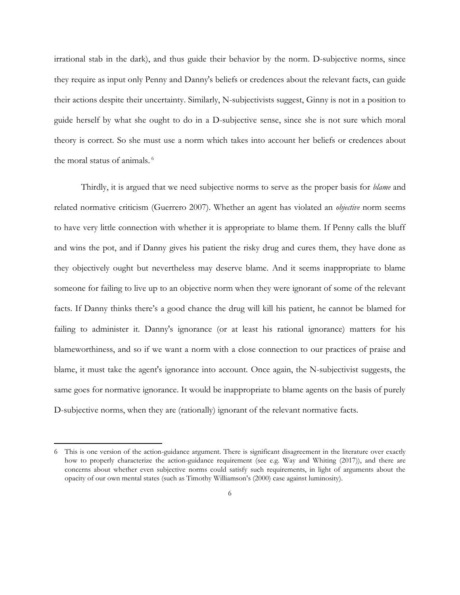irrational stab in the dark), and thus guide their behavior by the norm. D-subjective norms, since they require as input only Penny and Danny's beliefs or credences about the relevant facts, can guide their actions despite their uncertainty. Similarly, N-subjectivists suggest, Ginny is not in a position to guide herself by what she ought to do in a D-subjective sense, since she is not sure which moral theory is correct. So she must use a norm which takes into account her beliefs or credences about the moral status of animals. 6

Thirdly, it is argued that we need subjective norms to serve as the proper basis for *blame* and related normative criticism (Guerrero 2007). Whether an agent has violated an *objective* norm seems to have very little connection with whether it is appropriate to blame them. If Penny calls the bluff and wins the pot, and if Danny gives his patient the risky drug and cures them, they have done as they objectively ought but nevertheless may deserve blame. And it seems inappropriate to blame someone for failing to live up to an objective norm when they were ignorant of some of the relevant facts. If Danny thinks there's a good chance the drug will kill his patient, he cannot be blamed for failing to administer it. Danny's ignorance (or at least his rational ignorance) matters for his blameworthiness, and so if we want a norm with a close connection to our practices of praise and blame, it must take the agent's ignorance into account. Once again, the N-subjectivist suggests, the same goes for normative ignorance. It would be inappropriate to blame agents on the basis of purely D-subjective norms, when they are (rationally) ignorant of the relevant normative facts.

<sup>6</sup> This is one version of the action-guidance argument. There is significant disagreement in the literature over exactly how to properly characterize the action-guidance requirement (see e.g. Way and Whiting (2017)), and there are concerns about whether even subjective norms could satisfy such requirements, in light of arguments about the opacity of our own mental states (such as Timothy Williamson's (2000) case against luminosity).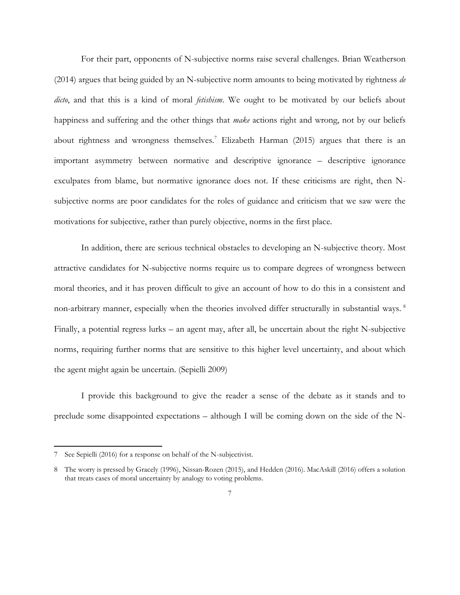For their part, opponents of N-subjective norms raise several challenges. Brian Weatherson (2014) argues that being guided by an N-subjective norm amounts to being motivated by rightness *de dicto*, and that this is a kind of moral *fetishism*. We ought to be motivated by our beliefs about happiness and suffering and the other things that *make* actions right and wrong, not by our beliefs about rightness and wrongness themselves.<sup>7</sup> Elizabeth Harman (2015) argues that there is an important asymmetry between normative and descriptive ignorance – descriptive ignorance exculpates from blame, but normative ignorance does not. If these criticisms are right, then Nsubjective norms are poor candidates for the roles of guidance and criticism that we saw were the motivations for subjective, rather than purely objective, norms in the first place.

In addition, there are serious technical obstacles to developing an N-subjective theory. Most attractive candidates for N-subjective norms require us to compare degrees of wrongness between moral theories, and it has proven difficult to give an account of how to do this in a consistent and non-arbitrary manner, especially when the theories involved differ structurally in substantial ways.<sup>8</sup> Finally, a potential regress lurks – an agent may, after all, be uncertain about the right N-subjective norms, requiring further norms that are sensitive to this higher level uncertainty, and about which the agent might again be uncertain. (Sepielli 2009)

I provide this background to give the reader a sense of the debate as it stands and to preclude some disappointed expectations – although I will be coming down on the side of the N-

<sup>7</sup> See Sepielli (2016) for a response on behalf of the N-subjectivist.

<sup>8</sup> The worry is pressed by Gracely (1996), Nissan-Rozen (2015), and Hedden (2016). MacAskill (2016) offers a solution that treats cases of moral uncertainty by analogy to voting problems.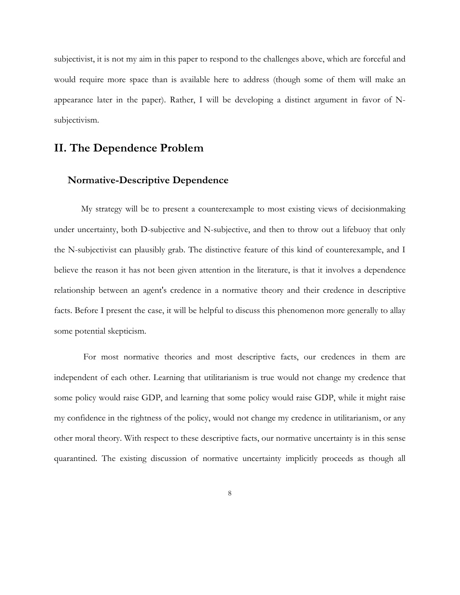subjectivist, it is not my aim in this paper to respond to the challenges above, which are forceful and would require more space than is available here to address (though some of them will make an appearance later in the paper). Rather, I will be developing a distinct argument in favor of Nsubjectivism.

# **II. The Dependence Problem**

#### **Normative-Descriptive Dependence**

My strategy will be to present a counterexample to most existing views of decisionmaking under uncertainty, both D-subjective and N-subjective, and then to throw out a lifebuoy that only the N-subjectivist can plausibly grab. The distinctive feature of this kind of counterexample, and I believe the reason it has not been given attention in the literature, is that it involves a dependence relationship between an agent's credence in a normative theory and their credence in descriptive facts. Before I present the case, it will be helpful to discuss this phenomenon more generally to allay some potential skepticism.

For most normative theories and most descriptive facts, our credences in them are independent of each other. Learning that utilitarianism is true would not change my credence that some policy would raise GDP, and learning that some policy would raise GDP, while it might raise my confidence in the rightness of the policy, would not change my credence in utilitarianism, or any other moral theory. With respect to these descriptive facts, our normative uncertainty is in this sense quarantined. The existing discussion of normative uncertainty implicitly proceeds as though all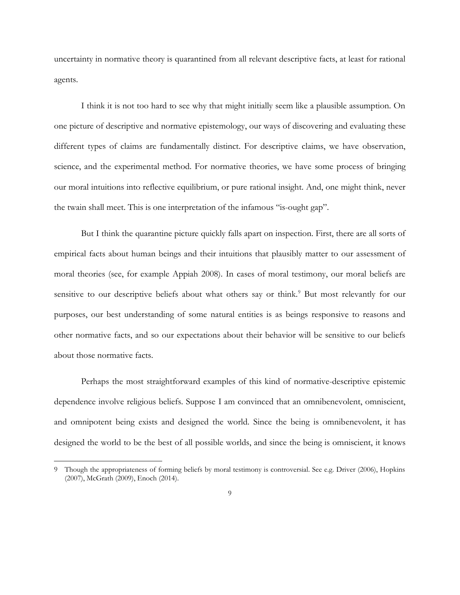uncertainty in normative theory is quarantined from all relevant descriptive facts, at least for rational agents.

I think it is not too hard to see why that might initially seem like a plausible assumption. On one picture of descriptive and normative epistemology, our ways of discovering and evaluating these different types of claims are fundamentally distinct. For descriptive claims, we have observation, science, and the experimental method. For normative theories, we have some process of bringing our moral intuitions into reflective equilibrium, or pure rational insight. And, one might think, never the twain shall meet. This is one interpretation of the infamous "is-ought gap".

But I think the quarantine picture quickly falls apart on inspection. First, there are all sorts of empirical facts about human beings and their intuitions that plausibly matter to our assessment of moral theories (see, for example Appiah 2008). In cases of moral testimony, our moral beliefs are sensitive to our descriptive beliefs about what others say or think.<sup>9</sup> But most relevantly for our purposes, our best understanding of some natural entities is as beings responsive to reasons and other normative facts, and so our expectations about their behavior will be sensitive to our beliefs about those normative facts.

Perhaps the most straightforward examples of this kind of normative-descriptive epistemic dependence involve religious beliefs. Suppose I am convinced that an omnibenevolent, omniscient, and omnipotent being exists and designed the world. Since the being is omnibenevolent, it has designed the world to be the best of all possible worlds, and since the being is omniscient, it knows

<sup>9</sup> Though the appropriateness of forming beliefs by moral testimony is controversial. See e.g. Driver (2006), Hopkins (2007), McGrath (2009), Enoch (2014).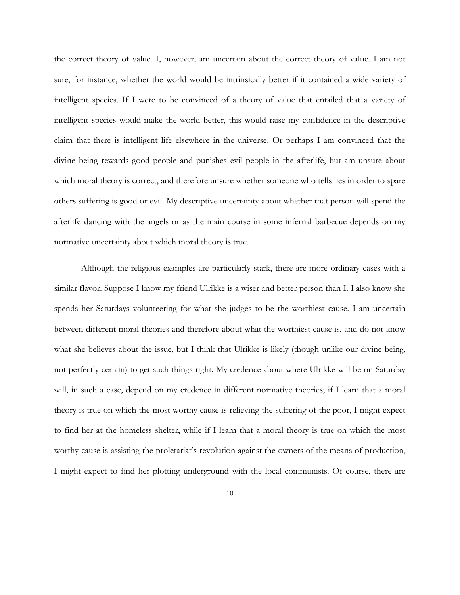the correct theory of value. I, however, am uncertain about the correct theory of value. I am not sure, for instance, whether the world would be intrinsically better if it contained a wide variety of intelligent species. If I were to be convinced of a theory of value that entailed that a variety of intelligent species would make the world better, this would raise my confidence in the descriptive claim that there is intelligent life elsewhere in the universe. Or perhaps I am convinced that the divine being rewards good people and punishes evil people in the afterlife, but am unsure about which moral theory is correct, and therefore unsure whether someone who tells lies in order to spare others suffering is good or evil. My descriptive uncertainty about whether that person will spend the afterlife dancing with the angels or as the main course in some infernal barbecue depends on my normative uncertainty about which moral theory is true.

Although the religious examples are particularly stark, there are more ordinary cases with a similar flavor. Suppose I know my friend Ulrikke is a wiser and better person than I. I also know she spends her Saturdays volunteering for what she judges to be the worthiest cause. I am uncertain between different moral theories and therefore about what the worthiest cause is, and do not know what she believes about the issue, but I think that Ulrikke is likely (though unlike our divine being, not perfectly certain) to get such things right. My credence about where Ulrikke will be on Saturday will, in such a case, depend on my credence in different normative theories; if I learn that a moral theory is true on which the most worthy cause is relieving the suffering of the poor, I might expect to find her at the homeless shelter, while if I learn that a moral theory is true on which the most worthy cause is assisting the proletariat's revolution against the owners of the means of production, I might expect to find her plotting underground with the local communists. Of course, there are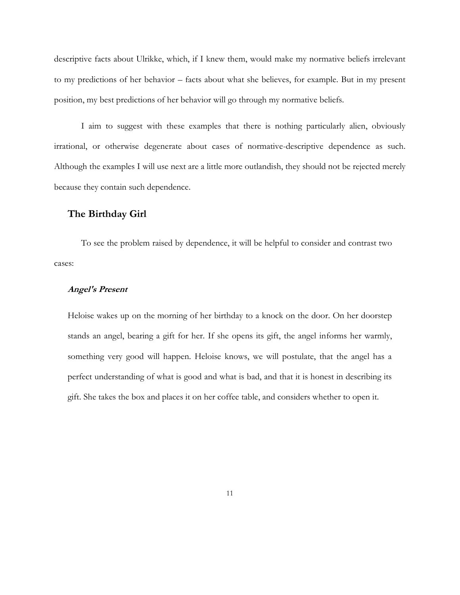descriptive facts about Ulrikke, which, if I knew them, would make my normative beliefs irrelevant to my predictions of her behavior – facts about what she believes, for example. But in my present position, my best predictions of her behavior will go through my normative beliefs.

I aim to suggest with these examples that there is nothing particularly alien, obviously irrational, or otherwise degenerate about cases of normative-descriptive dependence as such. Although the examples I will use next are a little more outlandish, they should not be rejected merely because they contain such dependence.

#### **The Birthday Girl**

To see the problem raised by dependence, it will be helpful to consider and contrast two cases:

#### **Angel's Present**

Heloise wakes up on the morning of her birthday to a knock on the door. On her doorstep stands an angel, bearing a gift for her. If she opens its gift, the angel informs her warmly, something very good will happen. Heloise knows, we will postulate, that the angel has a perfect understanding of what is good and what is bad, and that it is honest in describing its gift. She takes the box and places it on her coffee table, and considers whether to open it.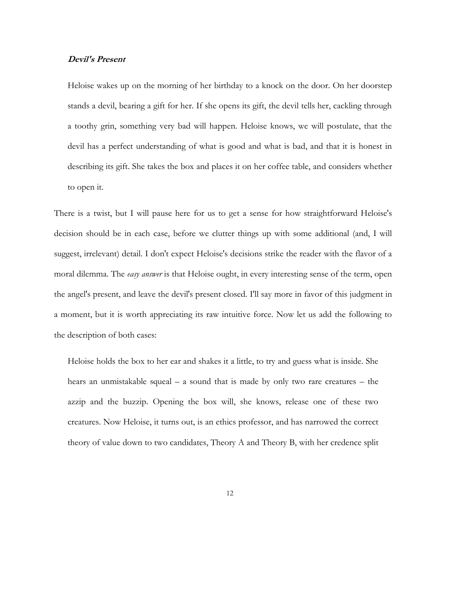#### **Devil's Present**

Heloise wakes up on the morning of her birthday to a knock on the door. On her doorstep stands a devil, bearing a gift for her. If she opens its gift, the devil tells her, cackling through a toothy grin, something very bad will happen. Heloise knows, we will postulate, that the devil has a perfect understanding of what is good and what is bad, and that it is honest in describing its gift. She takes the box and places it on her coffee table, and considers whether to open it.

There is a twist, but I will pause here for us to get a sense for how straightforward Heloise's decision should be in each case, before we clutter things up with some additional (and, I will suggest, irrelevant) detail. I don't expect Heloise's decisions strike the reader with the flavor of a moral dilemma. The *easy answer* is that Heloise ought, in every interesting sense of the term, open the angel's present, and leave the devil's present closed. I'll say more in favor of this judgment in a moment, but it is worth appreciating its raw intuitive force. Now let us add the following to the description of both cases:

Heloise holds the box to her ear and shakes it a little, to try and guess what is inside. She hears an unmistakable squeal – a sound that is made by only two rare creatures – the azzip and the buzzip. Opening the box will, she knows, release one of these two creatures. Now Heloise, it turns out, is an ethics professor, and has narrowed the correct theory of value down to two candidates, Theory A and Theory B, with her credence split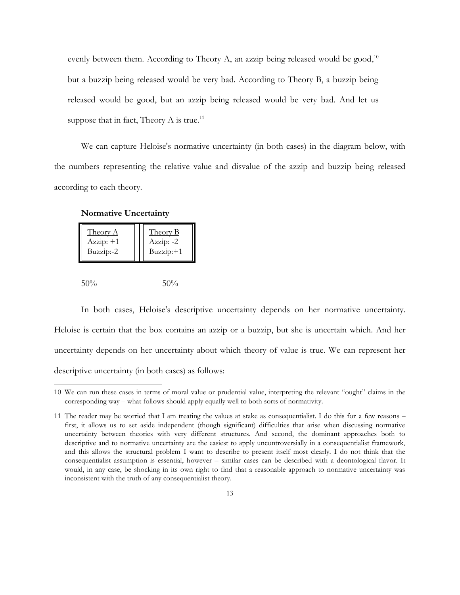evenly between them. According to Theory A, an azzip being released would be good,<sup>10</sup> but a buzzip being released would be very bad. According to Theory B, a buzzip being released would be good, but an azzip being released would be very bad. And let us suppose that in fact, Theory A is true.<sup>11</sup>

We can capture Heloise's normative uncertainty (in both cases) in the diagram below, with the numbers representing the relative value and disvalue of the azzip and buzzip being released according to each theory.

**Normative Uncertainty**

 $\overline{a}$ 

| <b>Theory A</b> | Theory B  |
|-----------------|-----------|
| $Azzip: +1$     | Azzip: -2 |
| Buzzip:-2       | Buzzip:+1 |
|                 |           |

In both cases, Heloise's descriptive uncertainty depends on her normative uncertainty. Heloise is certain that the box contains an azzip or a buzzip, but she is uncertain which. And her uncertainty depends on her uncertainty about which theory of value is true. We can represent her descriptive uncertainty (in both cases) as follows:

<sup>10</sup> We can run these cases in terms of moral value or prudential value, interpreting the relevant "ought" claims in the corresponding way – what follows should apply equally well to both sorts of normativity.

<sup>11</sup> The reader may be worried that I am treating the values at stake as consequentialist. I do this for a few reasons – first, it allows us to set aside independent (though significant) difficulties that arise when discussing normative uncertainty between theories with very different structures. And second, the dominant approaches both to descriptive and to normative uncertainty are the easiest to apply uncontroversially in a consequentialist framework, and this allows the structural problem I want to describe to present itself most clearly. I do not think that the consequentialist assumption is essential, however – similar cases can be described with a deontological flavor. It would, in any case, be shocking in its own right to find that a reasonable approach to normative uncertainty was inconsistent with the truth of any consequentialist theory.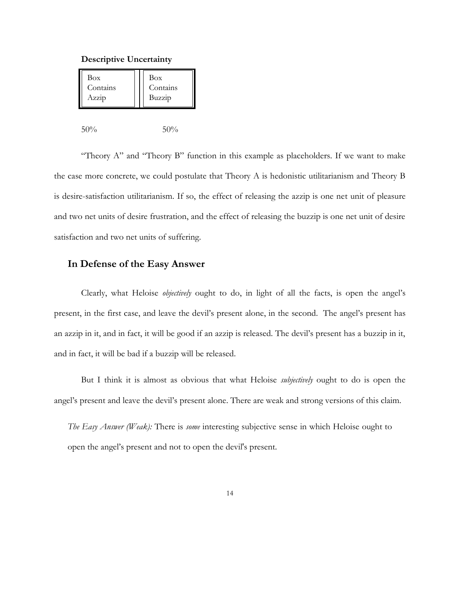#### **Descriptive Uncertainty**

|  | Box<br>Contains<br>Azzip | Box<br>Contains<br>Buzzip |
|--|--------------------------|---------------------------|
|--|--------------------------|---------------------------|

50% 50%

"Theory A" and "Theory B" function in this example as placeholders. If we want to make the case more concrete, we could postulate that Theory A is hedonistic utilitarianism and Theory B is desire-satisfaction utilitarianism. If so, the effect of releasing the azzip is one net unit of pleasure and two net units of desire frustration, and the effect of releasing the buzzip is one net unit of desire satisfaction and two net units of suffering.

#### **In Defense of the Easy Answer**

Clearly, what Heloise *objectively* ought to do, in light of all the facts, is open the angel's present, in the first case, and leave the devil's present alone, in the second. The angel's present has an azzip in it, and in fact, it will be good if an azzip is released. The devil's present has a buzzip in it, and in fact, it will be bad if a buzzip will be released.

But I think it is almost as obvious that what Heloise *subjectively* ought to do is open the angel's present and leave the devil's present alone. There are weak and strong versions of this claim.

*The Easy Answer (Weak):* There is *some* interesting subjective sense in which Heloise ought to open the angel's present and not to open the devil's present.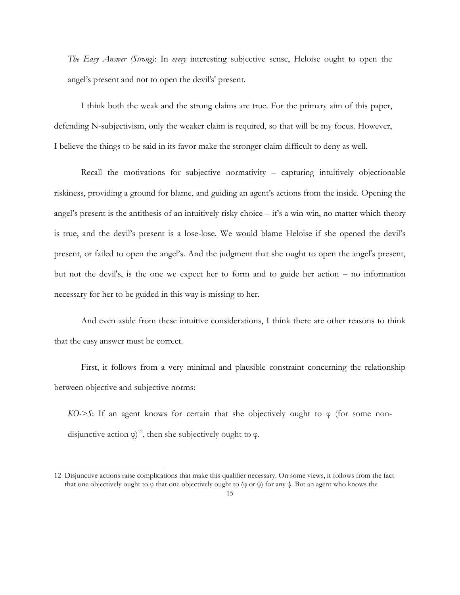*The Easy Answer (Strong)*: In *every* interesting subjective sense, Heloise ought to open the angel's present and not to open the devil's' present.

I think both the weak and the strong claims are true. For the primary aim of this paper, defending N-subjectivism, only the weaker claim is required, so that will be my focus. However, I believe the things to be said in its favor make the stronger claim difficult to deny as well.

Recall the motivations for subjective normativity – capturing intuitively objectionable riskiness, providing a ground for blame, and guiding an agent's actions from the inside. Opening the angel's present is the antithesis of an intuitively risky choice – it's a win-win, no matter which theory is true, and the devil's present is a lose-lose. We would blame Heloise if she opened the devil's present, or failed to open the angel's. And the judgment that she ought to open the angel's present, but not the devil's, is the one we expect her to form and to guide her action – no information necessary for her to be guided in this way is missing to her.

And even aside from these intuitive considerations, I think there are other reasons to think that the easy answer must be correct.

First, it follows from a very minimal and plausible constraint concerning the relationship between objective and subjective norms:

 $KO\rightarrow S$ : If an agent knows for certain that she objectively ought to  $\varphi$  (for some nondisjunctive action  $\varphi$ <sup>12</sup>, then she subjectively ought to  $\varphi$ .

<sup>12</sup> Disjunctive actions raise complications that make this qualifier necessary. On some views, it follows from the fact that one objectively ought to φ that one objectively ought to (φ or ψ) for any ψ. But an agent who knows the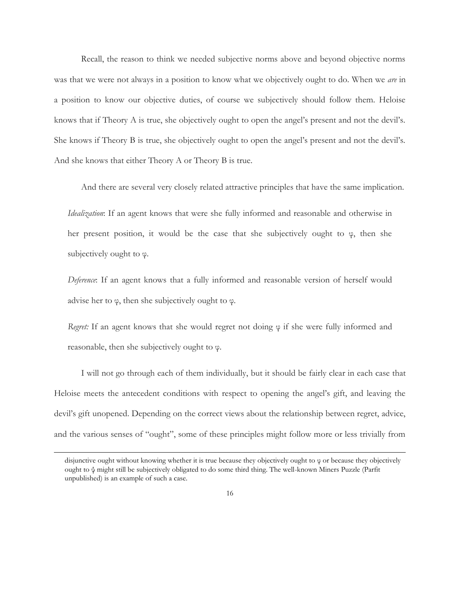Recall, the reason to think we needed subjective norms above and beyond objective norms was that we were not always in a position to know what we objectively ought to do. When we *are* in a position to know our objective duties, of course we subjectively should follow them. Heloise knows that if Theory A is true, she objectively ought to open the angel's present and not the devil's. She knows if Theory B is true, she objectively ought to open the angel's present and not the devil's. And she knows that either Theory A or Theory B is true.

And there are several very closely related attractive principles that have the same implication.

*Idealization*: If an agent knows that were she fully informed and reasonable and otherwise in her present position, it would be the case that she subjectively ought to  $\varphi$ , then she subjectively ought to  $\varphi$ .

*Deference*: If an agent knows that a fully informed and reasonable version of herself would advise her to  $\varphi$ , then she subjectively ought to  $\varphi$ .

*Regret:* If an agent knows that she would regret not doing φ if she were fully informed and reasonable, then she subjectively ought to φ.

I will not go through each of them individually, but it should be fairly clear in each case that Heloise meets the antecedent conditions with respect to opening the angel's gift, and leaving the devil's gift unopened. Depending on the correct views about the relationship between regret, advice, and the various senses of "ought", some of these principles might follow more or less trivially from

disjunctive ought without knowing whether it is true because they objectively ought to φ or because they objectively ought to ψ might still be subjectively obligated to do some third thing. The well-known Miners Puzzle (Parfit unpublished) is an example of such a case.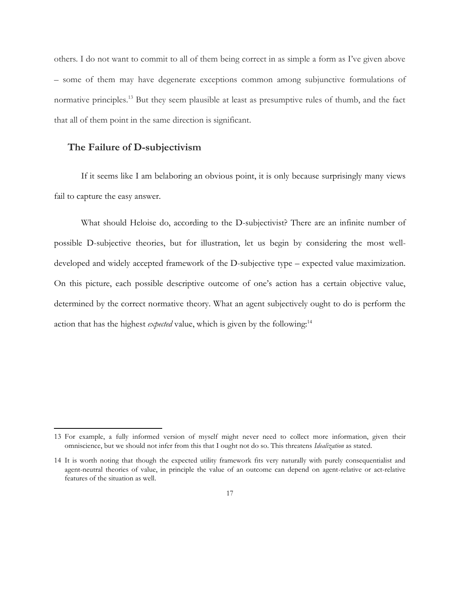others. I do not want to commit to all of them being correct in as simple a form as I've given above – some of them may have degenerate exceptions common among subjunctive formulations of normative principles.<sup>13</sup> But they seem plausible at least as presumptive rules of thumb, and the fact that all of them point in the same direction is significant.

### **The Failure of D-subjectivism**

 $\overline{\phantom{a}}$ 

If it seems like I am belaboring an obvious point, it is only because surprisingly many views fail to capture the easy answer.

What should Heloise do, according to the D-subjectivist? There are an infinite number of possible D-subjective theories, but for illustration, let us begin by considering the most welldeveloped and widely accepted framework of the D-subjective type – expected value maximization. On this picture, each possible descriptive outcome of one's action has a certain objective value, determined by the correct normative theory. What an agent subjectively ought to do is perform the action that has the highest *expected* value, which is given by the following:<sup>14</sup>

<sup>13</sup> For example, a fully informed version of myself might never need to collect more information, given their omniscience, but we should not infer from this that I ought not do so. This threatens *Idealization* as stated.

<sup>14</sup> It is worth noting that though the expected utility framework fits very naturally with purely consequentialist and agent-neutral theories of value, in principle the value of an outcome can depend on agent-relative or act-relative features of the situation as well.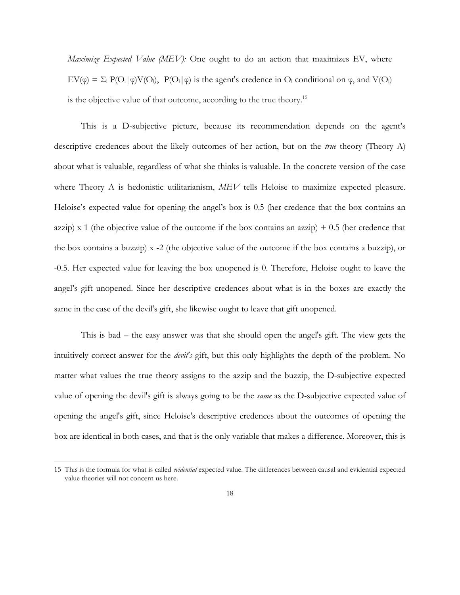*Maximize Expected Value (MEV):* One ought to do an action that maximizes EV, where  $EV(\varphi) = \sum_i P(O_i|\varphi)V(O_i)$ ,  $P(O_i|\varphi)$  is the agent's credence in  $O_i$  conditional on  $\varphi$ , and  $V(O_i)$ is the objective value of that outcome, according to the true theory.<sup>15</sup>

This is a D-subjective picture, because its recommendation depends on the agent's descriptive credences about the likely outcomes of her action, but on the *true* theory (Theory A) about what is valuable, regardless of what she thinks is valuable. In the concrete version of the case where Theory A is hedonistic utilitarianism,  $MEV$  tells Heloise to maximize expected pleasure. Heloise's expected value for opening the angel's box is 0.5 (her credence that the box contains an azzip) x 1 (the objective value of the outcome if the box contains an azzip)  $+ 0.5$  (her credence that the box contains a buzzip) x -2 (the objective value of the outcome if the box contains a buzzip), or -0.5. Her expected value for leaving the box unopened is 0. Therefore, Heloise ought to leave the angel's gift unopened. Since her descriptive credences about what is in the boxes are exactly the same in the case of the devil's gift, she likewise ought to leave that gift unopened.

This is bad – the easy answer was that she should open the angel's gift. The view gets the intuitively correct answer for the *devil's* gift, but this only highlights the depth of the problem. No matter what values the true theory assigns to the azzip and the buzzip, the D-subjective expected value of opening the devil's gift is always going to be the *same* as the D-subjective expected value of opening the angel's gift, since Heloise's descriptive credences about the outcomes of opening the box are identical in both cases, and that is the only variable that makes a difference. Moreover, this is

<sup>15</sup> This is the formula for what is called *evidential* expected value. The differences between causal and evidential expected value theories will not concern us here.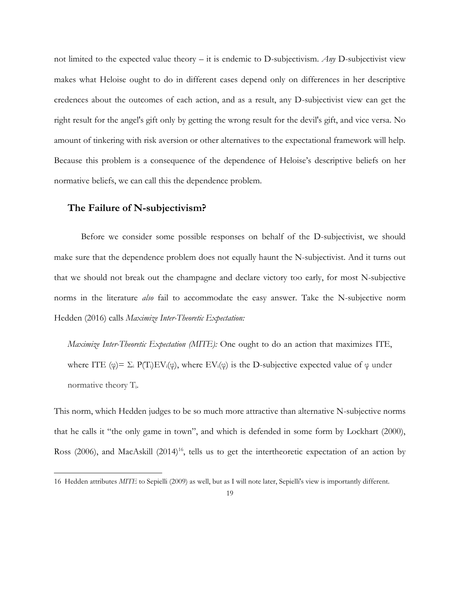not limited to the expected value theory – it is endemic to D-subjectivism. *Any* D-subjectivist view makes what Heloise ought to do in different cases depend only on differences in her descriptive credences about the outcomes of each action, and as a result, any D-subjectivist view can get the right result for the angel's gift only by getting the wrong result for the devil's gift, and vice versa. No amount of tinkering with risk aversion or other alternatives to the expectational framework will help. Because this problem is a consequence of the dependence of Heloise's descriptive beliefs on her normative beliefs, we can call this the dependence problem.

#### **The Failure of N-subjectivism?**

 $\overline{\phantom{a}}$ 

Before we consider some possible responses on behalf of the D-subjectivist, we should make sure that the dependence problem does not equally haunt the N-subjectivist. And it turns out that we should not break out the champagne and declare victory too early, for most N-subjective norms in the literature *also* fail to accommodate the easy answer. Take the N-subjective norm Hedden (2016) calls *Maximize Inter-Theoretic Expectation:*

*Maximize Inter-Theoretic Expectation (MITE):* One ought to do an action that maximizes ITE, where ITE ( $\varphi$ )=  $\Sigma_i$  P(T<sub>i</sub>)EV<sub>i</sub>( $\varphi$ ), where EV<sub>i</sub>( $\varphi$ ) is the D-subjective expected value of  $\varphi$  under normative theory Ti.

This norm, which Hedden judges to be so much more attractive than alternative N-subjective norms that he calls it "the only game in town", and which is defended in some form by Lockhart (2000), Ross (2006), and MacAskill (2014)<sup>16</sup>, tells us to get the intertheoretic expectation of an action by

<sup>16</sup> Hedden attributes *MITE* to Sepielli (2009) as well, but as I will note later, Sepielli's view is importantly different.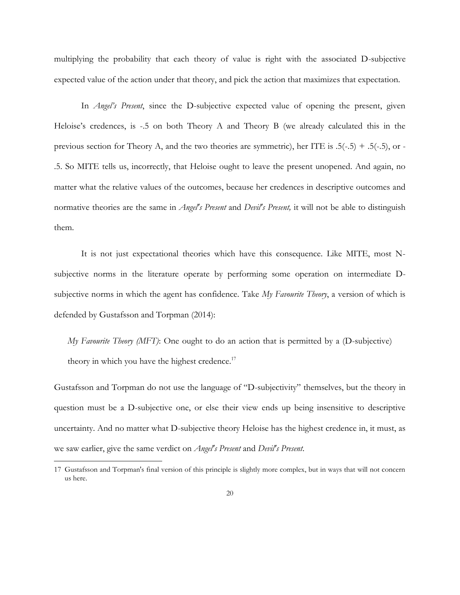multiplying the probability that each theory of value is right with the associated D-subjective expected value of the action under that theory, and pick the action that maximizes that expectation.

In *Angel's Present*, since the D-subjective expected value of opening the present, given Heloise's credences, is -.5 on both Theory A and Theory B (we already calculated this in the previous section for Theory A, and the two theories are symmetric), her ITE is  $.5(-.5) + .5(-.5)$ , or -.5. So MITE tells us, incorrectly, that Heloise ought to leave the present unopened. And again, no matter what the relative values of the outcomes, because her credences in descriptive outcomes and normative theories are the same in *Angel's Present* and *Devil's Present,* it will not be able to distinguish them.

It is not just expectational theories which have this consequence. Like MITE, most Nsubjective norms in the literature operate by performing some operation on intermediate Dsubjective norms in which the agent has confidence. Take *My Favourite Theory*, a version of which is defended by Gustafsson and Torpman (2014):

*My Favourite Theory (MFT)*: One ought to do an action that is permitted by a (D-subjective) theory in which you have the highest credence. $17$ 

Gustafsson and Torpman do not use the language of "D-subjectivity" themselves, but the theory in question must be a D-subjective one, or else their view ends up being insensitive to descriptive uncertainty. And no matter what D-subjective theory Heloise has the highest credence in, it must, as we saw earlier, give the same verdict on *Angel's Present* and *Devil's Present*.

<sup>17</sup> Gustafsson and Torpman's final version of this principle is slightly more complex, but in ways that will not concern us here.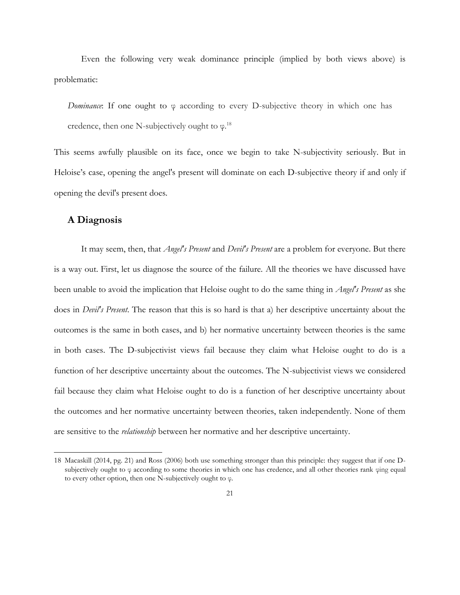Even the following very weak dominance principle (implied by both views above) is problematic:

*Dominance*: If one ought to φ according to every D-subjective theory in which one has credence, then one N-subjectively ought to  $\varphi$ .<sup>18</sup>

This seems awfully plausible on its face, once we begin to take N-subjectivity seriously. But in Heloise's case, opening the angel's present will dominate on each D-subjective theory if and only if opening the devil's present does.

#### **A Diagnosis**

 $\overline{a}$ 

It may seem, then, that *Angel's Present* and *Devil's Present* are a problem for everyone. But there is a way out. First, let us diagnose the source of the failure. All the theories we have discussed have been unable to avoid the implication that Heloise ought to do the same thing in *Angel's Present* as she does in *Devil's Present*. The reason that this is so hard is that a) her descriptive uncertainty about the outcomes is the same in both cases, and b) her normative uncertainty between theories is the same in both cases. The D-subjectivist views fail because they claim what Heloise ought to do is a function of her descriptive uncertainty about the outcomes. The N-subjectivist views we considered fail because they claim what Heloise ought to do is a function of her descriptive uncertainty about the outcomes and her normative uncertainty between theories, taken independently. None of them are sensitive to the *relationship* between her normative and her descriptive uncertainty.

<sup>18</sup> Macaskill (2014, pg. 21) and Ross (2006) both use something stronger than this principle: they suggest that if one Dsubjectively ought to φ according to some theories in which one has credence, and all other theories rank φing equal to every other option, then one N-subjectively ought to φ.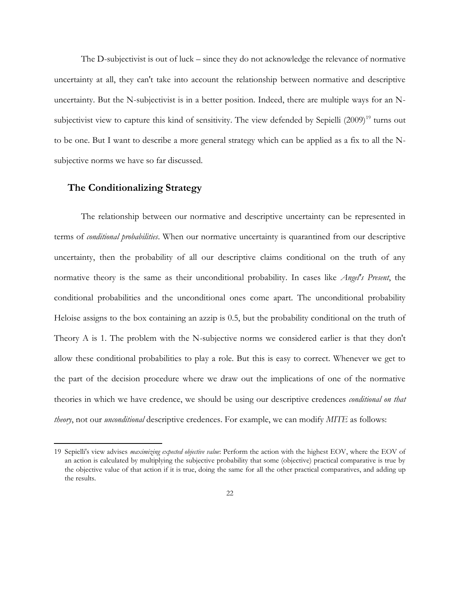The D-subjectivist is out of luck – since they do not acknowledge the relevance of normative uncertainty at all, they can't take into account the relationship between normative and descriptive uncertainty. But the N-subjectivist is in a better position. Indeed, there are multiple ways for an Nsubjectivist view to capture this kind of sensitivity. The view defended by Sepielli (2009)<sup>19</sup> turns out to be one. But I want to describe a more general strategy which can be applied as a fix to all the Nsubjective norms we have so far discussed.

#### **The Conditionalizing Strategy**

 $\overline{\phantom{a}}$ 

The relationship between our normative and descriptive uncertainty can be represented in terms of *conditional probabilities*. When our normative uncertainty is quarantined from our descriptive uncertainty, then the probability of all our descriptive claims conditional on the truth of any normative theory is the same as their unconditional probability. In cases like *Angel's Present*, the conditional probabilities and the unconditional ones come apart. The unconditional probability Heloise assigns to the box containing an azzip is 0.5, but the probability conditional on the truth of Theory A is 1. The problem with the N-subjective norms we considered earlier is that they don't allow these conditional probabilities to play a role. But this is easy to correct. Whenever we get to the part of the decision procedure where we draw out the implications of one of the normative theories in which we have credence, we should be using our descriptive credences *conditional on that theory*, not our *unconditional* descriptive credences. For example, we can modify *MITE* as follows:

<sup>19</sup> Sepielli's view advises *maximizing expected objective value*: Perform the action with the highest EOV, where the EOV of an action is calculated by multiplying the subjective probability that some (objective) practical comparative is true by the objective value of that action if it is true, doing the same for all the other practical comparatives, and adding up the results.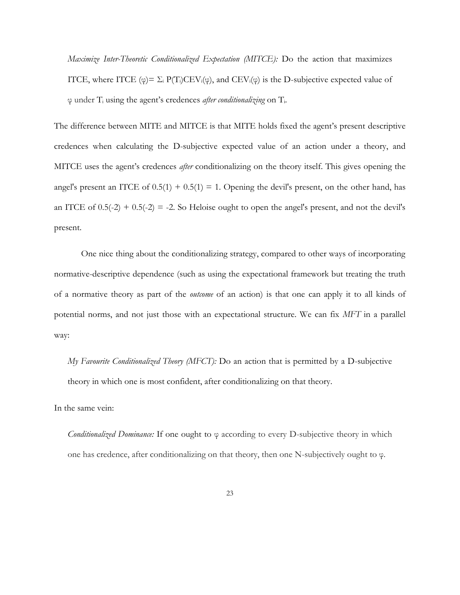*Maximize Inter-Theoretic Conditionalized Expectation (MITCE):* Do the action that maximizes ITCE, where ITCE ( $\varphi$ ) =  $\Sigma_i$  P(T<sub>i</sub>)CEV<sub>i</sub>( $\varphi$ ), and CEV<sub>i</sub>( $\varphi$ ) is the D-subjective expected value of φ under T<sup>i</sup> using the agent's credences *after conditionalizing* on Ti.

The difference between MITE and MITCE is that MITE holds fixed the agent's present descriptive credences when calculating the D-subjective expected value of an action under a theory, and MITCE uses the agent's credences *after* conditionalizing on the theory itself. This gives opening the angel's present an ITCE of  $0.5(1) + 0.5(1) = 1$ . Opening the devil's present, on the other hand, has an ITCE of  $0.5(-2) + 0.5(-2) = -2$ . So Heloise ought to open the angel's present, and not the devil's present.

One nice thing about the conditionalizing strategy, compared to other ways of incorporating normative-descriptive dependence (such as using the expectational framework but treating the truth of a normative theory as part of the *outcome* of an action) is that one can apply it to all kinds of potential norms, and not just those with an expectational structure. We can fix *MFT* in a parallel way:

*My Favourite Conditionalized Theory (MFCT):* Do an action that is permitted by a D-subjective theory in which one is most confident, after conditionalizing on that theory.

In the same vein:

*Conditionalized Dominance:* If one ought to φ according to every D-subjective theory in which one has credence, after conditionalizing on that theory, then one N-subjectively ought to φ.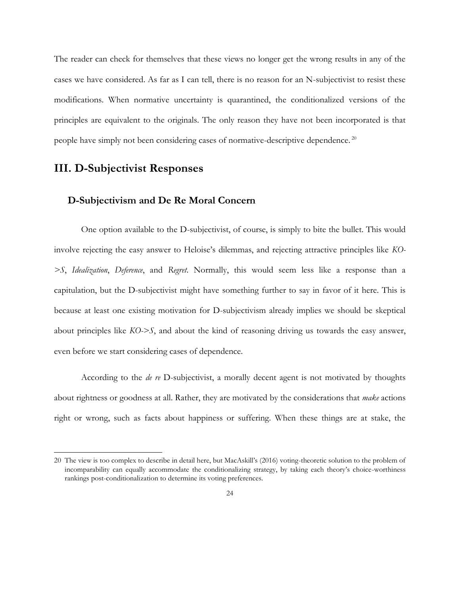The reader can check for themselves that these views no longer get the wrong results in any of the cases we have considered. As far as I can tell, there is no reason for an N-subjectivist to resist these modifications. When normative uncertainty is quarantined, the conditionalized versions of the principles are equivalent to the originals. The only reason they have not been incorporated is that people have simply not been considering cases of normative-descriptive dependence.<sup>20</sup>

# **III. D-Subjectivist Responses**

 $\overline{a}$ 

#### **D-Subjectivism and De Re Moral Concern**

One option available to the D-subjectivist, of course, is simply to bite the bullet. This would involve rejecting the easy answer to Heloise's dilemmas, and rejecting attractive principles like *KO- >S*, *Idealization*, *Deference*, and *Regret*. Normally, this would seem less like a response than a capitulation, but the D-subjectivist might have something further to say in favor of it here. This is because at least one existing motivation for D-subjectivism already implies we should be skeptical about principles like *KO->S*, and about the kind of reasoning driving us towards the easy answer, even before we start considering cases of dependence.

According to the *de re* D-subjectivist, a morally decent agent is not motivated by thoughts about rightness or goodness at all. Rather, they are motivated by the considerations that *make* actions right or wrong, such as facts about happiness or suffering. When these things are at stake, the

<sup>20</sup> The view is too complex to describe in detail here, but MacAskill's (2016) voting-theoretic solution to the problem of incomparability can equally accommodate the conditionalizing strategy, by taking each theory's choice-worthiness rankings post-conditionalization to determine its voting preferences.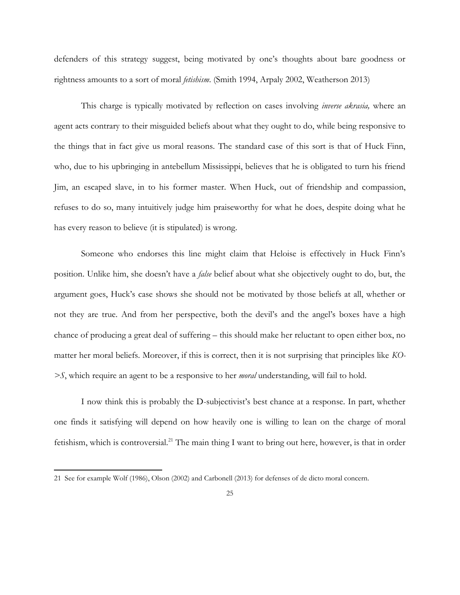defenders of this strategy suggest, being motivated by one's thoughts about bare goodness or rightness amounts to a sort of moral *fetishism*. (Smith 1994, Arpaly 2002, Weatherson 2013)

This charge is typically motivated by reflection on cases involving *inverse akrasia,* where an agent acts contrary to their misguided beliefs about what they ought to do, while being responsive to the things that in fact give us moral reasons. The standard case of this sort is that of Huck Finn, who, due to his upbringing in antebellum Mississippi, believes that he is obligated to turn his friend Jim, an escaped slave, in to his former master. When Huck, out of friendship and compassion, refuses to do so, many intuitively judge him praiseworthy for what he does, despite doing what he has every reason to believe (it is stipulated) is wrong.

Someone who endorses this line might claim that Heloise is effectively in Huck Finn's position. Unlike him, she doesn't have a *false* belief about what she objectively ought to do, but, the argument goes, Huck's case shows she should not be motivated by those beliefs at all, whether or not they are true. And from her perspective, both the devil's and the angel's boxes have a high chance of producing a great deal of suffering – this should make her reluctant to open either box, no matter her moral beliefs. Moreover, if this is correct, then it is not surprising that principles like *KO- >S*, which require an agent to be a responsive to her *moral* understanding, will fail to hold.

I now think this is probably the D-subjectivist's best chance at a response. In part, whether one finds it satisfying will depend on how heavily one is willing to lean on the charge of moral fetishism, which is controversial.<sup>21</sup> The main thing I want to bring out here, however, is that in order

<sup>21</sup> See for example Wolf (1986), Olson (2002) and Carbonell (2013) for defenses of de dicto moral concern.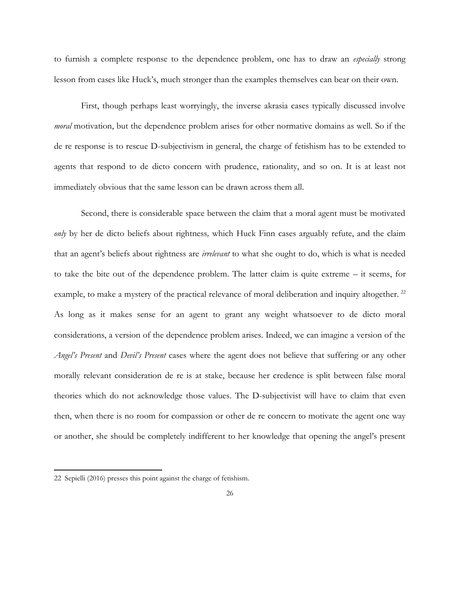to furnish a complete response to the dependence problem, one has to draw an *especially* strong lesson from cases like Huck's, much stronger than the examples themselves can bear on their own.

First, though perhaps least worryingly, the inverse akrasia cases typically discussed involve *moral* motivation, but the dependence problem arises for other normative domains as well. So if the de re response is to rescue D-subjectivism in general, the charge of fetishism has to be extended to agents that respond to de dicto concern with prudence, rationality, and so on. It is at least not immediately obvious that the same lesson can be drawn across them all.

Second, there is considerable space between the claim that a moral agent must be motivated *only* by her de dicto beliefs about rightness*,* which Huck Finn cases arguably refute, and the claim that an agent's beliefs about rightness are *irrelevant* to what she ought to do, which is what is needed to take the bite out of the dependence problem. The latter claim is quite extreme – it seems, for example, to make a mystery of the practical relevance of moral deliberation and inquiry altogether.<sup>22</sup> As long as it makes sense for an agent to grant any weight whatsoever to de dicto moral considerations, a version of the dependence problem arises. Indeed, we can imagine a version of the *Angel's Present* and *Devil's Present* cases where the agent does not believe that suffering or any other morally relevant consideration de re is at stake, because her credence is split between false moral theories which do not acknowledge those values. The D-subjectivist will have to claim that even then, when there is no room for compassion or other de re concern to motivate the agent one way or another, she should be completely indifferent to her knowledge that opening the angel's present

<sup>22</sup> Sepielli (2016) presses this point against the charge of fetishism.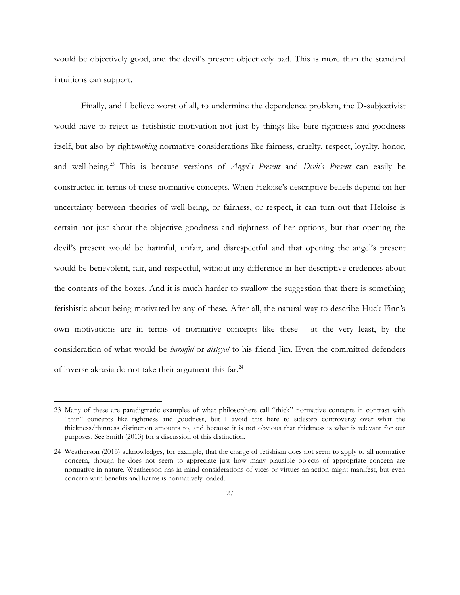would be objectively good, and the devil's present objectively bad. This is more than the standard intuitions can support.

Finally, and I believe worst of all, to undermine the dependence problem, the D-subjectivist would have to reject as fetishistic motivation not just by things like bare rightness and goodness itself, but also by right*making* normative considerations like fairness, cruelty, respect, loyalty, honor, and well-being.<sup>23</sup> This is because versions of *Angel's Present* and *Devil's Present* can easily be constructed in terms of these normative concepts. When Heloise's descriptive beliefs depend on her uncertainty between theories of well-being, or fairness, or respect, it can turn out that Heloise is certain not just about the objective goodness and rightness of her options, but that opening the devil's present would be harmful, unfair, and disrespectful and that opening the angel's present would be benevolent, fair, and respectful, without any difference in her descriptive credences about the contents of the boxes. And it is much harder to swallow the suggestion that there is something fetishistic about being motivated by any of these. After all, the natural way to describe Huck Finn's own motivations are in terms of normative concepts like these - at the very least, by the consideration of what would be *harmful* or *disloyal* to his friend Jim. Even the committed defenders of inverse akrasia do not take their argument this far.<sup>24</sup>

<sup>23</sup> Many of these are paradigmatic examples of what philosophers call "thick" normative concepts in contrast with "thin" concepts like rightness and goodness, but I avoid this here to sidestep controversy over what the thickness/thinness distinction amounts to, and because it is not obvious that thickness is what is relevant for our purposes. See Smith (2013) for a discussion of this distinction.

<sup>24</sup> Weatherson (2013) acknowledges, for example, that the charge of fetishism does not seem to apply to all normative concern, though he does not seem to appreciate just how many plausible objects of appropriate concern are normative in nature. Weatherson has in mind considerations of vices or virtues an action might manifest, but even concern with benefits and harms is normatively loaded.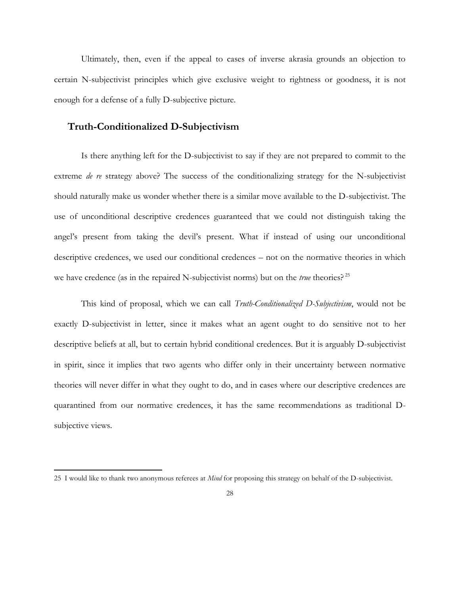Ultimately, then, even if the appeal to cases of inverse akrasia grounds an objection to certain N-subjectivist principles which give exclusive weight to rightness or goodness, it is not enough for a defense of a fully D-subjective picture.

#### **Truth-Conditionalized D-Subjectivism**

 $\overline{a}$ 

Is there anything left for the D-subjectivist to say if they are not prepared to commit to the extreme *de re* strategy above? The success of the conditionalizing strategy for the N-subjectivist should naturally make us wonder whether there is a similar move available to the D-subjectivist. The use of unconditional descriptive credences guaranteed that we could not distinguish taking the angel's present from taking the devil's present. What if instead of using our unconditional descriptive credences, we used our conditional credences – not on the normative theories in which we have credence (as in the repaired N-subjectivist norms) but on the *true* theories? <sup>25</sup>

This kind of proposal, which we can call *Truth-Conditionalized D-Subjectivism*, would not be exactly D-subjectivist in letter, since it makes what an agent ought to do sensitive not to her descriptive beliefs at all, but to certain hybrid conditional credences. But it is arguably D-subjectivist in spirit, since it implies that two agents who differ only in their uncertainty between normative theories will never differ in what they ought to do, and in cases where our descriptive credences are quarantined from our normative credences, it has the same recommendations as traditional Dsubjective views.

<sup>25</sup> I would like to thank two anonymous referees at *Mind* for proposing this strategy on behalf of the D-subjectivist.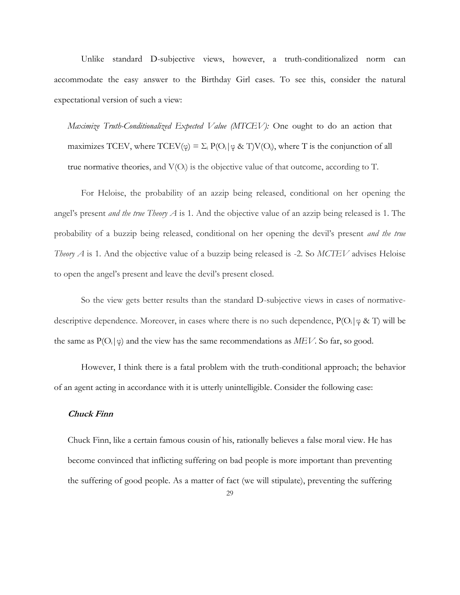Unlike standard D-subjective views, however, a truth-conditionalized norm can accommodate the easy answer to the Birthday Girl cases. To see this, consider the natural expectational version of such a view:

*Maximize Truth-Conditionalized Expected Value (MTCEV):* One ought to do an action that maximizes TCEV, where  $TCEV(\varphi) = \Sigma_i P(O_i | \varphi \& T)V(O_i)$ , where T is the conjunction of all true normative theories, and  $V(O_i)$  is the objective value of that outcome, according to T.

For Heloise, the probability of an azzip being released, conditional on her opening the angel's present *and the true Theory A* is 1. And the objective value of an azzip being released is 1. The probability of a buzzip being released, conditional on her opening the devil's present *and the true Theory A* is 1. And the objective value of a buzzip being released is -2. So *MCTEV* advises Heloise to open the angel's present and leave the devil's present closed.

So the view gets better results than the standard D-subjective views in cases of normativedescriptive dependence. Moreover, in cases where there is no such dependence,  $P(O_i|\phi \& T)$  will be the same as  $P(O_i|\phi)$  and the view has the same recommendations as *MEV*. So far, so good.

However, I think there is a fatal problem with the truth-conditional approach; the behavior of an agent acting in accordance with it is utterly unintelligible. Consider the following case:

#### **Chuck Finn**

Chuck Finn, like a certain famous cousin of his, rationally believes a false moral view. He has become convinced that inflicting suffering on bad people is more important than preventing the suffering of good people. As a matter of fact (we will stipulate), preventing the suffering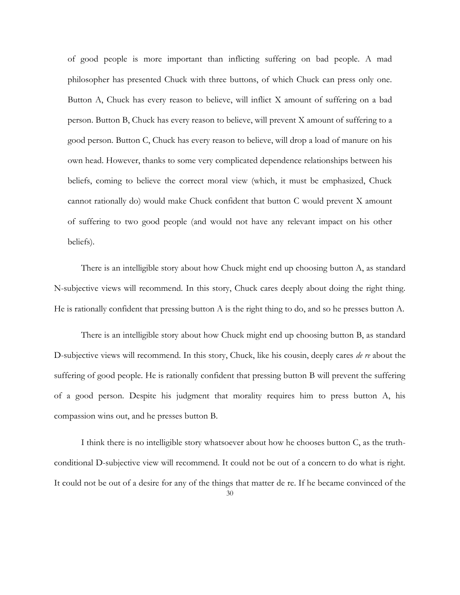of good people is more important than inflicting suffering on bad people. A mad philosopher has presented Chuck with three buttons, of which Chuck can press only one. Button A, Chuck has every reason to believe, will inflict X amount of suffering on a bad person. Button B, Chuck has every reason to believe, will prevent X amount of suffering to a good person. Button C, Chuck has every reason to believe, will drop a load of manure on his own head. However, thanks to some very complicated dependence relationships between his beliefs, coming to believe the correct moral view (which, it must be emphasized, Chuck cannot rationally do) would make Chuck confident that button C would prevent X amount of suffering to two good people (and would not have any relevant impact on his other beliefs).

There is an intelligible story about how Chuck might end up choosing button A, as standard N-subjective views will recommend. In this story, Chuck cares deeply about doing the right thing. He is rationally confident that pressing button A is the right thing to do, and so he presses button A.

There is an intelligible story about how Chuck might end up choosing button B, as standard D-subjective views will recommend. In this story, Chuck, like his cousin, deeply cares *de re* about the suffering of good people. He is rationally confident that pressing button B will prevent the suffering of a good person. Despite his judgment that morality requires him to press button A, his compassion wins out, and he presses button B.

I think there is no intelligible story whatsoever about how he chooses button C, as the truthconditional D-subjective view will recommend. It could not be out of a concern to do what is right. It could not be out of a desire for any of the things that matter de re. If he became convinced of the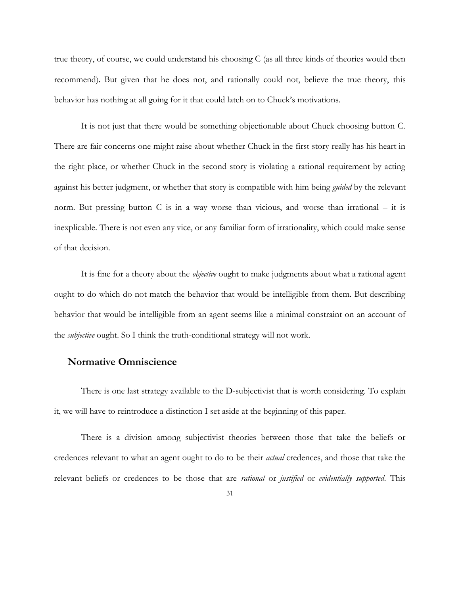true theory, of course, we could understand his choosing C (as all three kinds of theories would then recommend). But given that he does not, and rationally could not, believe the true theory, this behavior has nothing at all going for it that could latch on to Chuck's motivations.

It is not just that there would be something objectionable about Chuck choosing button C. There are fair concerns one might raise about whether Chuck in the first story really has his heart in the right place, or whether Chuck in the second story is violating a rational requirement by acting against his better judgment, or whether that story is compatible with him being *guided* by the relevant norm. But pressing button C is in a way worse than vicious, and worse than irrational – it is inexplicable. There is not even any vice, or any familiar form of irrationality, which could make sense of that decision.

It is fine for a theory about the *objective* ought to make judgments about what a rational agent ought to do which do not match the behavior that would be intelligible from them. But describing behavior that would be intelligible from an agent seems like a minimal constraint on an account of the *subjective* ought. So I think the truth-conditional strategy will not work.

#### **Normative Omniscience**

There is one last strategy available to the D-subjectivist that is worth considering. To explain it, we will have to reintroduce a distinction I set aside at the beginning of this paper.

There is a division among subjectivist theories between those that take the beliefs or credences relevant to what an agent ought to do to be their *actual* credences, and those that take the relevant beliefs or credences to be those that are *rational* or *justified* or *evidentially supported*. This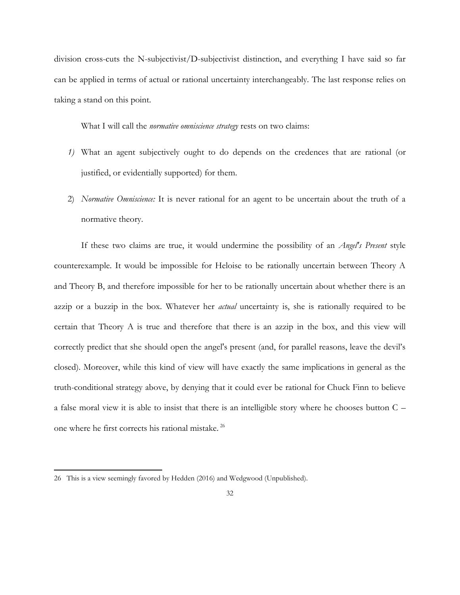division cross-cuts the N-subjectivist/D-subjectivist distinction, and everything I have said so far can be applied in terms of actual or rational uncertainty interchangeably. The last response relies on taking a stand on this point.

What I will call the *normative omniscience strategy* rests on two claims:

- *1)* What an agent subjectively ought to do depends on the credences that are rational (or justified, or evidentially supported) for them.
- 2) *Normative Omniscience:* It is never rational for an agent to be uncertain about the truth of a normative theory.

If these two claims are true, it would undermine the possibility of an *Angel's Present* style counterexample. It would be impossible for Heloise to be rationally uncertain between Theory A and Theory B, and therefore impossible for her to be rationally uncertain about whether there is an azzip or a buzzip in the box. Whatever her *actual* uncertainty is, she is rationally required to be certain that Theory A is true and therefore that there is an azzip in the box, and this view will correctly predict that she should open the angel's present (and, for parallel reasons, leave the devil's closed). Moreover, while this kind of view will have exactly the same implications in general as the truth-conditional strategy above, by denying that it could ever be rational for Chuck Finn to believe a false moral view it is able to insist that there is an intelligible story where he chooses button C – one where he first corrects his rational mistake. <sup>26</sup>

<sup>26</sup> This is a view seemingly favored by Hedden (2016) and Wedgwood (Unpublished).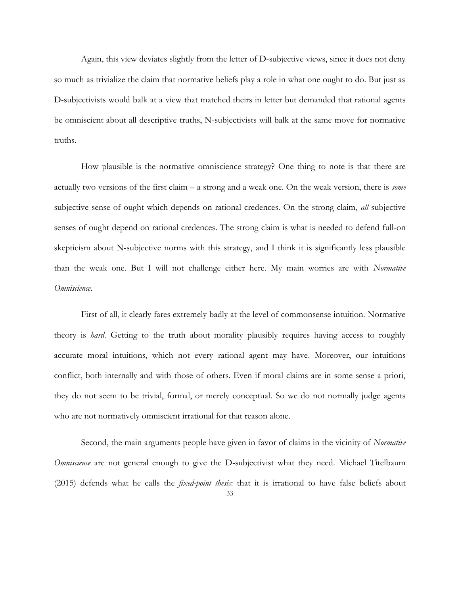Again, this view deviates slightly from the letter of D-subjective views, since it does not deny so much as trivialize the claim that normative beliefs play a role in what one ought to do. But just as D-subjectivists would balk at a view that matched theirs in letter but demanded that rational agents be omniscient about all descriptive truths, N-subjectivists will balk at the same move for normative truths.

How plausible is the normative omniscience strategy? One thing to note is that there are actually two versions of the first claim – a strong and a weak one. On the weak version, there is *some*  subjective sense of ought which depends on rational credences. On the strong claim, *all* subjective senses of ought depend on rational credences. The strong claim is what is needed to defend full-on skepticism about N-subjective norms with this strategy, and I think it is significantly less plausible than the weak one. But I will not challenge either here. My main worries are with *Normative Omniscience*.

First of all, it clearly fares extremely badly at the level of commonsense intuition. Normative theory is *hard*. Getting to the truth about morality plausibly requires having access to roughly accurate moral intuitions, which not every rational agent may have. Moreover, our intuitions conflict, both internally and with those of others. Even if moral claims are in some sense a priori, they do not seem to be trivial, formal, or merely conceptual. So we do not normally judge agents who are not normatively omniscient irrational for that reason alone.

Second, the main arguments people have given in favor of claims in the vicinity of *Normative Omniscience* are not general enough to give the D-subjectivist what they need. Michael Titelbaum (2015) defends what he calls the *fixed-point thesis*: that it is irrational to have false beliefs about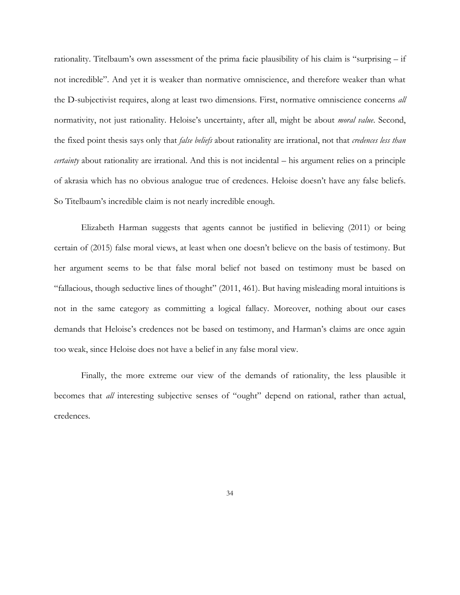rationality. Titelbaum's own assessment of the prima facie plausibility of his claim is "surprising – if not incredible". And yet it is weaker than normative omniscience, and therefore weaker than what the D-subjectivist requires, along at least two dimensions. First, normative omniscience concerns *all*  normativity, not just rationality. Heloise's uncertainty, after all, might be about *moral value*. Second, the fixed point thesis says only that *false beliefs* about rationality are irrational, not that *credences less than certainty* about rationality are irrational. And this is not incidental – his argument relies on a principle of akrasia which has no obvious analogue true of credences. Heloise doesn't have any false beliefs. So Titelbaum's incredible claim is not nearly incredible enough.

Elizabeth Harman suggests that agents cannot be justified in believing (2011) or being certain of (2015) false moral views, at least when one doesn't believe on the basis of testimony. But her argument seems to be that false moral belief not based on testimony must be based on "fallacious, though seductive lines of thought" (2011, 461). But having misleading moral intuitions is not in the same category as committing a logical fallacy. Moreover, nothing about our cases demands that Heloise's credences not be based on testimony, and Harman's claims are once again too weak, since Heloise does not have a belief in any false moral view.

Finally, the more extreme our view of the demands of rationality, the less plausible it becomes that *all* interesting subjective senses of "ought" depend on rational, rather than actual, credences.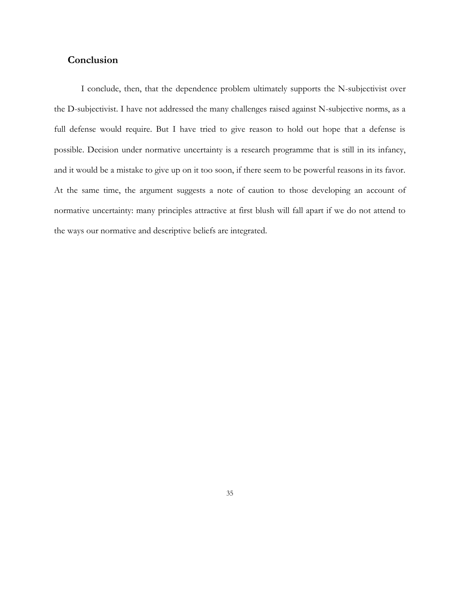# **Conclusion**

I conclude, then, that the dependence problem ultimately supports the N-subjectivist over the D-subjectivist. I have not addressed the many challenges raised against N-subjective norms, as a full defense would require. But I have tried to give reason to hold out hope that a defense is possible. Decision under normative uncertainty is a research programme that is still in its infancy, and it would be a mistake to give up on it too soon, if there seem to be powerful reasons in its favor. At the same time, the argument suggests a note of caution to those developing an account of normative uncertainty: many principles attractive at first blush will fall apart if we do not attend to the ways our normative and descriptive beliefs are integrated.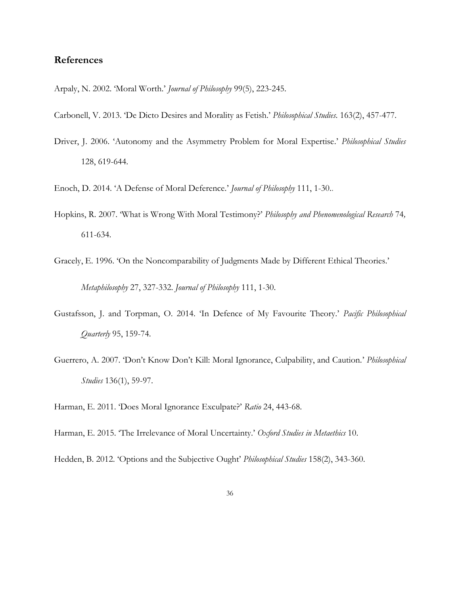# **References**

- Arpaly, N. 2002. 'Moral Worth.' *Journal of Philosophy* 99(5), 223-245.
- Carbonell, V. 2013. 'De Dicto Desires and Morality as Fetish.' *Philosophical Studies*. 163(2), 457-477.
- Driver, J. 2006. 'Autonomy and the Asymmetry Problem for Moral Expertise.' *Philosophical Studies* 128, 619-644.
- Enoch, D. 2014. 'A Defense of Moral Deference.' *Journal of Philosophy* 111, 1-30..
- Hopkins, R. 2007. 'What is Wrong With Moral Testimony?' *Philosophy and Phenomenological Research* 74*,*  611-634.
- Gracely, E. 1996. 'On the Noncomparability of Judgments Made by Different Ethical Theories.' *Metaphilosophy* 27, 327-332. *Journal of Philosophy* 111, 1-30.
- Gustafsson, J. and Torpman, O. 2014. 'In Defence of My Favourite Theory.' *Pacific Philosophical Quarterly* 95, 159-74.
- Guerrero, A. 2007. 'Don't Know Don't Kill: Moral Ignorance, Culpability, and Caution.' *Philosophical Studies* 136(1), 59-97.

Harman, E. 2011. 'Does Moral Ignorance Exculpate?' *Ratio* 24, 443-68.

- Harman, E. 2015. 'The Irrelevance of Moral Uncertainty.' *Oxford Studies in Metaethics* 10.
- Hedden, B. 2012. 'Options and the Subjective Ought' *Philosophical Studies* 158(2), 343-360.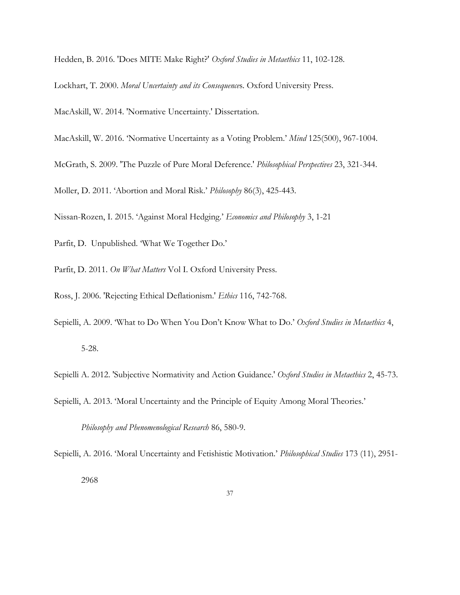Hedden, B. 2016. 'Does MITE Make Right?' *Oxford Studies in Metaethics* 11, 102-128.

Lockhart, T. 2000. *Moral Uncertainty and its Consequence*s. Oxford University Press.

MacAskill, W. 2014. 'Normative Uncertainty.' Dissertation.

- MacAskill, W. 2016. 'Normative Uncertainty as a Voting Problem.' *Mind* 125(500), 967-1004.
- McGrath, S. 2009. 'The Puzzle of Pure Moral Deference.' *Philosophical Perspectives* 23, 321-344.

Moller, D. 2011. 'Abortion and Moral Risk.' *Philosophy* 86(3), 425-443.

Nissan-Rozen, I. 2015. 'Against Moral Hedging.' *Economics and Philosophy* 3, 1-21

- Parfit, D. Unpublished. 'What We Together Do.'
- Parfit, D. 2011. *On What Matters* Vol I. Oxford University Press.
- Ross, J. 2006. 'Rejecting Ethical Deflationism.' *Ethics* 116, 742-768.
- Sepielli, A. 2009. 'What to Do When You Don't Know What to Do.' *Oxford Studies in Metaethics* 4, 5-28.

Sepielli A. 2012. 'Subjective Normativity and Action Guidance.' *Oxford Studies in Metaethics* 2, 45-73.

Sepielli, A. 2013. 'Moral Uncertainty and the Principle of Equity Among Moral Theories.'

*Philosophy and Phenomenological Research* 86, 580-9.

Sepielli, A. 2016. 'Moral Uncertainty and Fetishistic Motivation.' *Philosophical Studies* 173 (11), 2951- 2968